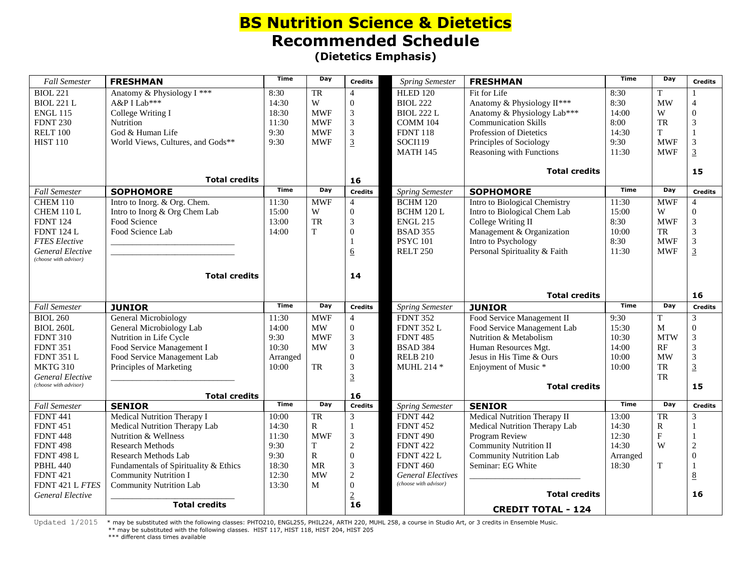## **BS Nutrition Science & Dietetics Recommended Schedule (Dietetics Emphasis)**

| <b>Fall Semester</b>                             | <b>FRESHMAN</b>                       | <b>Time</b> | Day         | <b>Credits</b>   | <b>Spring Semester</b>   | <b>FRESHMAN</b>                | <b>Time</b> | Day        | <b>Credits</b>           |
|--------------------------------------------------|---------------------------------------|-------------|-------------|------------------|--------------------------|--------------------------------|-------------|------------|--------------------------|
| <b>BIOL 221</b>                                  | Anatomy & Physiology I ***            | 8:30        | TR          | $\overline{4}$   | <b>HLED 120</b>          | Fit for Life                   | 8:30        | T          |                          |
| <b>BIOL 221 L</b>                                | A&P I Lab***                          | 14:30       | W           | $\overline{0}$   | <b>BIOL 222</b>          | Anatomy & Physiology II***     | 8:30        | <b>MW</b>  | $\overline{4}$           |
| <b>ENGL 115</b>                                  | College Writing I                     | 18:30       | <b>MWF</b>  | 3                | <b>BIOL 222 L</b>        | Anatomy & Physiology Lab***    | 14:00       | W          | $\Omega$                 |
| <b>FDNT 230</b>                                  | Nutrition                             | 11:30       | <b>MWF</b>  | 3                | COMM 104                 | Communication Skills           | 8:00        | <b>TR</b>  | 3                        |
| <b>RELT 100</b>                                  | God & Human Life                      | 9:30        | <b>MWF</b>  | 3                | <b>FDNT 118</b>          | Profession of Dietetics        | 14:30       | T          | $\mathbf{1}$             |
| <b>HIST 110</b>                                  | World Views, Cultures, and Gods**     | 9:30        | <b>MWF</b>  | $\overline{3}$   | <b>SOCI119</b>           | Principles of Sociology        | 9:30        | <b>MWF</b> | 3                        |
|                                                  |                                       |             |             |                  | <b>MATH 145</b>          | Reasoning with Functions       | 11:30       | <b>MWF</b> | $\overline{3}$           |
|                                                  |                                       |             |             |                  |                          | <b>Total credits</b>           |             |            | 15                       |
|                                                  | <b>Total credits</b>                  | <b>Time</b> | Day         | 16               |                          |                                | <b>Time</b> | Day        |                          |
| <b>Fall Semester</b>                             | <b>SOPHOMORE</b>                      |             |             | <b>Credits</b>   | <b>Spring Semester</b>   | <b>SOPHOMORE</b>               |             |            | <b>Credits</b>           |
| <b>CHEM 110</b>                                  | Intro to Inorg. & Org. Chem.          | 11:30       | <b>MWF</b>  | $\overline{4}$   | <b>BCHM 120</b>          | Intro to Biological Chemistry  | 11:30       | <b>MWF</b> | $\overline{\mathcal{A}}$ |
| CHEM 110L                                        | Intro to Inorg & Org Chem Lab         | 15:00       | W           | $\overline{0}$   | <b>BCHM 120 L</b>        | Intro to Biological Chem Lab   | 15:00       | W          | $\mathbf{0}$             |
| <b>FDNT 124</b>                                  | Food Science                          | 13:00       | TR          | 3                | <b>ENGL 215</b>          | College Writing II             | 8:30        | <b>MWF</b> | 3                        |
| <b>FDNT 124 L</b>                                | Food Science Lab                      | 14:00       | T           | $\Omega$         | <b>BSAD 355</b>          | Management & Organization      | 10:00       | TR         | 3                        |
| <b>FTES Elective</b>                             |                                       |             |             |                  | <b>PSYC 101</b>          | Intro to Psychology            | 8:30        | <b>MWF</b> | 3                        |
| General Elective<br>(choose with advisor)        |                                       |             |             | $\underline{6}$  | <b>RELT 250</b>          | Personal Spirituality & Faith  | 11:30       | <b>MWF</b> | $\overline{3}$           |
|                                                  | <b>Total credits</b>                  |             |             | 14               |                          |                                |             |            |                          |
|                                                  |                                       |             |             |                  |                          |                                |             |            |                          |
|                                                  |                                       |             |             |                  |                          | <b>Total credits</b>           |             |            | 16                       |
| <b>Fall Semester</b>                             | <b>JUNIOR</b>                         | <b>Time</b> | Day         | <b>Credits</b>   | <b>Spring Semester</b>   | <b>JUNIOR</b>                  | <b>Time</b> | Day        | <b>Credits</b>           |
| <b>BIOL 260</b>                                  | General Microbiology                  | 11:30       | <b>MWF</b>  | $\overline{4}$   | <b>FDNT 352</b>          | Food Service Management II     | 9:30        | T          | 3                        |
| <b>BIOL 260L</b>                                 | General Microbiology Lab              | 14:00       | MW          | $\overline{0}$   | <b>FDNT 352 L</b>        | Food Service Management Lab    | 15:30       | M          | $\boldsymbol{0}$         |
| <b>FDNT 310</b>                                  | Nutrition in Life Cycle               | 9:30        | <b>MWF</b>  | 3                | <b>FDNT 485</b>          | Nutrition & Metabolism         | 10:30       | <b>MTW</b> | 3                        |
| <b>FDNT 351</b>                                  | Food Service Management I             | 10:30       | <b>MW</b>   | 3                | <b>BSAD 384</b>          | Human Resources Mgt.           | 14:00       | RF         | 3                        |
| <b>FDNT 351 L</b>                                | Food Service Management Lab           | Arranged    |             | $\Omega$         | <b>RELB 210</b>          | Jesus in His Time & Ours       | 10:00       | <b>MW</b>  | 3                        |
| <b>MKTG 310</b>                                  | Principles of Marketing               | 10:00       | TR          | 3                | <b>MUHL 214 *</b>        | Enjoyment of Music *           | 10:00       | <b>TR</b>  | $\overline{3}$           |
| <b>General Elective</b><br>(choose with advisor) |                                       |             |             | $\overline{3}$   |                          |                                |             | TR         |                          |
|                                                  | <b>Total credits</b>                  |             |             | 16               |                          | <b>Total credits</b>           |             |            | 15                       |
| <b>Fall Semester</b>                             | <b>SENIOR</b>                         | <b>Time</b> | Day         | <b>Credits</b>   | <b>Spring Semester</b>   | <b>SENIOR</b>                  | <b>Time</b> | Day        | <b>Credits</b>           |
| <b>FDNT 441</b>                                  | Medical Nutrition Therapy I           | 10:00       | TR          | $\mathfrak{Z}$   | <b>FDNT 442</b>          | Medical Nutrition Therapy II   | 13:00       | <b>TR</b>  | 3                        |
| <b>FDNT 451</b>                                  | Medical Nutrition Therapy Lab         | 14:30       | $\mathbf R$ | $\mathbf{1}$     | <b>FDNT 452</b>          | Medical Nutrition Therapy Lab  | 14:30       | R          |                          |
| <b>FDNT 448</b>                                  | Nutrition & Wellness                  | 11:30       | <b>MWF</b>  | 3                | <b>FDNT 490</b>          | Program Review                 | 12:30       | F          | $\mathbf{1}$             |
| <b>FDNT 498</b>                                  | <b>Research Methods</b>               | 9:30        | T           | $\overline{c}$   | <b>FDNT 422</b>          | <b>Community Nutrition II</b>  | 14:30       | W          | $\overline{c}$           |
| <b>FDNT 498 L</b>                                | Research Methods Lab                  | 9:30        | $\mathbf R$ | $\boldsymbol{0}$ | <b>FDNT 422 L</b>        | <b>Community Nutrition Lab</b> | Arranged    |            | $\overline{0}$           |
| <b>PBHL 440</b>                                  | Fundamentals of Spirituality & Ethics | 18:30       | <b>MR</b>   | $\overline{3}$   | <b>FDNT 460</b>          | Seminar: EG White              | 18:30       | T          |                          |
| <b>FDNT 421</b>                                  | <b>Community Nutrition I</b>          | 12:30       | <b>MW</b>   | $\overline{c}$   | <b>General Electives</b> |                                |             |            | 8                        |
| FDNT 421 L FTES                                  | <b>Community Nutrition Lab</b>        | 13:30       | M           | $\overline{0}$   | (choose with advisor)    |                                |             |            |                          |
| General Elective                                 |                                       |             |             | $\frac{2}{16}$   |                          | <b>Total credits</b>           |             |            | 16                       |
|                                                  | <b>Total credits</b>                  |             |             |                  |                          | <b>CREDIT TOTAL - 124</b>      |             |            |                          |

Updated  $1/2015$  \* may be substituted with the following classes: PHTO210, ENGL255, PHIL224, ARTH 220, MUHL 258, a course in Studio Art, or 3 credits in Ensemble Music. \*\* may be substituted with the following classes. HIST 117, HIST 118, HIST 204, HIST 205

\*\*\* different class times available